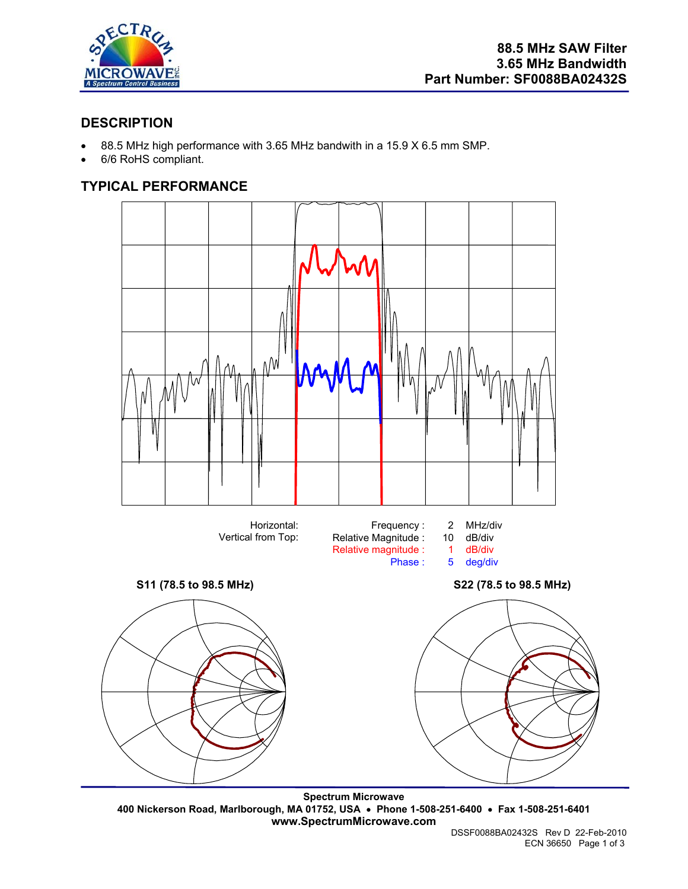

# **DESCRIPTION**

- 88.5 MHz high performance with 3.65 MHz bandwith in a 15.9 X 6.5 mm SMP.
- 6/6 RoHS compliant.

# **TYPICAL PERFORMANCE**



**Spectrum Microwave 400 Nickerson Road, Marlborough, MA 01752, USA** • **Phone 1-508-251-6400** • **Fax 1-508-251-6401 www.SpectrumMicrowave.com**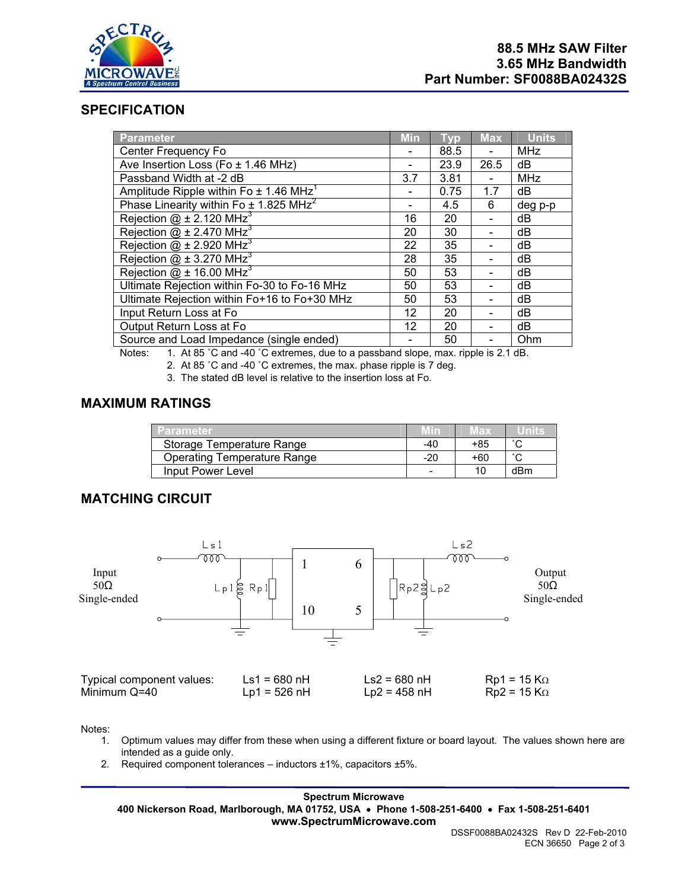

## **SPECIFICATION**

| <b>Parameter</b>                                       | <b>Min</b> | Tvp  | <b>Max</b>               | <b>Units</b> |
|--------------------------------------------------------|------------|------|--------------------------|--------------|
| Center Frequency Fo                                    |            | 88.5 |                          | <b>MHz</b>   |
| Ave Insertion Loss (Fo ± 1.46 MHz)                     |            | 23.9 | 26.5                     | dB           |
| Passband Width at -2 dB                                | 3.7        | 3.81 | $\overline{\phantom{0}}$ | <b>MHz</b>   |
| Amplitude Ripple within Fo $\pm$ 1.46 MHz <sup>1</sup> |            | 0.75 | 1.7                      | dB           |
| Phase Linearity within $Fo \pm 1.825 \text{ MHz}^2$    |            | 4.5  | 6                        | deg p-p      |
| Rejection $@$ ± 2.120 MHz <sup>3</sup>                 | 16         | 20   |                          | dB           |
| Rejection $@$ ± 2.470 MHz <sup>3</sup>                 | 20         | 30   |                          | dB           |
| Rejection $@$ ± 2.920 MHz <sup>3</sup>                 | 22         | 35   |                          | dB           |
| Rejection $@$ ± 3.270 MHz <sup>3</sup>                 | 28         | 35   |                          | dB           |
| Rejection $@$ ± 16.00 MHz <sup>3</sup>                 | 50         | 53   |                          | dB           |
| Ultimate Rejection within Fo-30 to Fo-16 MHz           |            | 53   |                          | dB           |
| Ultimate Rejection within Fo+16 to Fo+30 MHz           |            | 53   |                          | dB           |
| Input Return Loss at Fo                                |            | 20   |                          | dB           |
| Output Return Loss at Fo                               | 12         | 20   |                          | dB           |
| Source and Load Impedance (single ended)               |            | 50   |                          | Ohm          |

Notes: 1. At 85 °C and -40 °C extremes, due to a passband slope, max. ripple is 2.1 dB.

2. At 85 ˚C and -40 ˚C extremes, the max. phase ripple is 7 deg.

3. The stated dB level is relative to the insertion loss at Fo.

## **MAXIMUM RATINGS**

| Parameter                   |       | vlax | luniis. |
|-----------------------------|-------|------|---------|
| Storage Temperature Range   | $-40$ | +85  | $\sim$  |
| Operating Temperature Range | -20   | +60  | $\sim$  |
| Input Power Level           | -     | 10   | dBm     |

## **MATCHING CIRCUIT**



Notes:

- 1. Optimum values may differ from these when using a different fixture or board layout. The values shown here are intended as a guide only.
- 2. Required component tolerances inductors ±1%, capacitors ±5%.

**Spectrum Microwave 400 Nickerson Road, Marlborough, MA 01752, USA** • **Phone 1-508-251-6400** • **Fax 1-508-251-6401 www.SpectrumMicrowave.com**